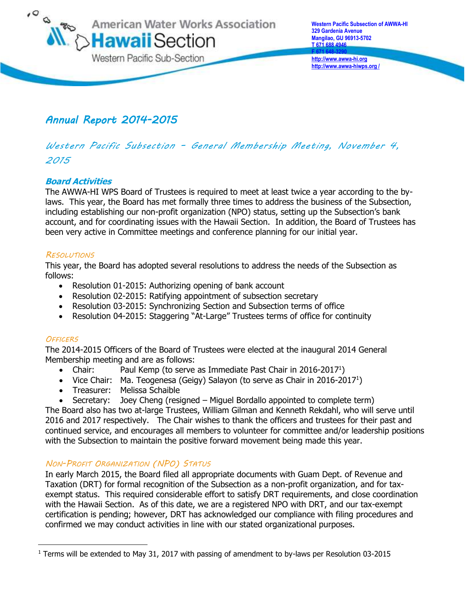

**http://www.awwa-hiwps.org /**

# *Annual Report 2014-2015*

# *Western Pacific Subsection – General Membership Meeting, November 4, 2015*

## **Board Activities**

The AWWA-HI WPS Board of Trustees is required to meet at least twice a year according to the bylaws. This year, the Board has met formally three times to address the business of the Subsection, including establishing our non-profit organization (NPO) status, setting up the Subsection's bank account, and for coordinating issues with the Hawaii Section. In addition, the Board of Trustees has been very active in Committee meetings and conference planning for our initial year.

### *RESOLUTIONS*

This year, the Board has adopted several resolutions to address the needs of the Subsection as follows:

- Resolution 01-2015: Authorizing opening of bank account
- Resolution 02-2015: Ratifying appointment of subsection secretary
- Resolution 03-2015: Synchronizing Section and Subsection terms of office
- Resolution 04-2015: Staggering "At-Large" Trustees terms of office for continuity

#### *OFFICERS*

 $\overline{a}$ 

The 2014-2015 Officers of the Board of Trustees were elected at the inaugural 2014 General Membership meeting and are as follows:

- Chair: Paul Kemp (to serve as Immediate Past Chair in 2016-2017<sup>1</sup>)
- Vice Chair: Ma. Teogenesa (Geigy) Salayon (to serve as Chair in 2016-2017<sup>1</sup>)
- Treasurer: Melissa Schaible
- Secretary: Joey Cheng (resigned Miguel Bordallo appointed to complete term)

The Board also has two at-large Trustees, William Gilman and Kenneth Rekdahl, who will serve until 2016 and 2017 respectively. The Chair wishes to thank the officers and trustees for their past and continued service, and encourages all members to volunteer for committee and/or leadership positions with the Subsection to maintain the positive forward movement being made this year.

## *NON-PROFIT ORGANIZATION (NPO) STATUS*

In early March 2015, the Board filed all appropriate documents with Guam Dept. of Revenue and Taxation (DRT) for formal recognition of the Subsection as a non-profit organization, and for taxexempt status. This required considerable effort to satisfy DRT requirements, and close coordination with the Hawaii Section. As of this date, we are a registered NPO with DRT, and our tax-exempt certification is pending; however, DRT has acknowledged our compliance with filing procedures and confirmed we may conduct activities in line with our stated organizational purposes.

<sup>1</sup> Terms will be extended to May 31, 2017 with passing of amendment to by-laws per Resolution 03-2015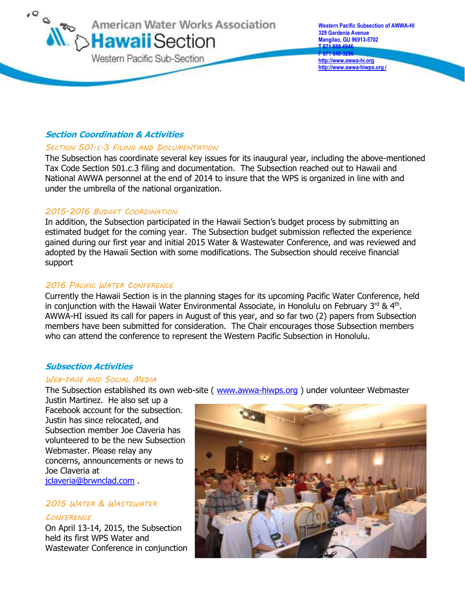

## **Section Coordination & Activities**

#### *SECTION 501.C.3 FILING AND DOCUMENTATION*

The Subsection has coordinate several key issues for its inaugural year, including the above-mentioned Tax Code Section 501.c.3 filing and documentation. The Subsection reached out to Hawaii and National AWWA personnel at the end of 2014 to insure that the WPS is organized in line with and under the umbrella of the national organization.

#### *2015-2016 BUDGET COORDINATION*

In addition, the Subsection participated in the Hawaii Section's budget process by submitting an estimated budget for the coming year. The Subsection budget submission reflected the experience gained during our first year and initial 2015 Water & Wastewater Conference, and was reviewed and adopted by the Hawaii Section with some modifications. The Subsection should receive financial support

#### *2016 PACIFIC WATER CONFERENCE*

Currently the Hawaii Section is in the planning stages for its upcoming Pacific Water Conference, held in conjunction with the Hawaii Water Environmental Associate, in Honolulu on February 3<sup>rd</sup> & 4<sup>th</sup>. AWWA-HI issued its call for papers in August of this year, and so far two (2) papers from Subsection members have been submitted for consideration. The Chair encourages those Subsection members who can attend the conference to represent the Western Pacific Subsection in Honolulu.

#### **Subsection Activities**

#### *WEB-PAGE AND SOCIAL MEDIA*

The Subsection established its own web-site ( [www.awwa-hiwps.org](http://www.awwa-hiwps.org/) ) under volunteer Webmaster

Justin Martinez. He also set up a Facebook account for the subsection. Justin has since relocated, and Subsection member Joe Claveria has volunteered to be the new Subsection Webmaster. Please relay any concerns, announcements or news to Joe Claveria at [jclaveria@brwnclad.com](mailto:jclaveria@brwnclad.com) .

#### *2015 WATER & WASTEWATER*

#### *CONFERENCE*

On April 13-14, 2015, the Subsection held its first WPS Water and Wastewater Conference in conjunction

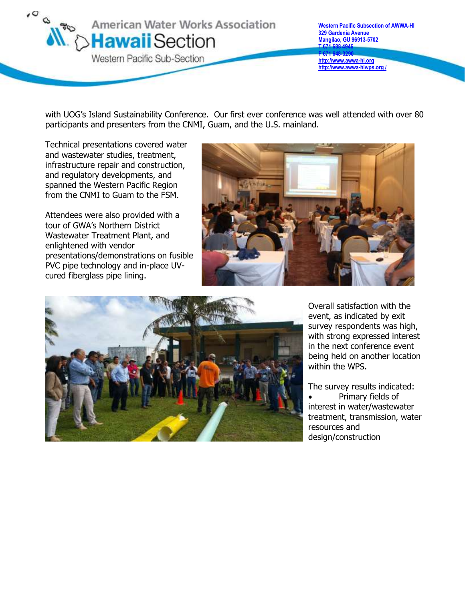

with UOG's Island Sustainability Conference. Our first ever conference was well attended with over 80 participants and presenters from the CNMI, Guam, and the U.S. mainland.

Technical presentations covered water and wastewater studies, treatment, infrastructure repair and construction, and regulatory developments, and spanned the Western Pacific Region from the CNMI to Guam to the FSM.

Attendees were also provided with a tour of GWA's Northern District Wastewater Treatment Plant, and enlightened with vendor presentations/demonstrations on fusible PVC pipe technology and in-place UVcured fiberglass pipe lining.





Overall satisfaction with the event, as indicated by exit survey respondents was high, with strong expressed interest in the next conference event being held on another location within the WPS.

The survey results indicated: Primary fields of interest in water/wastewater treatment, transmission, water resources and design/construction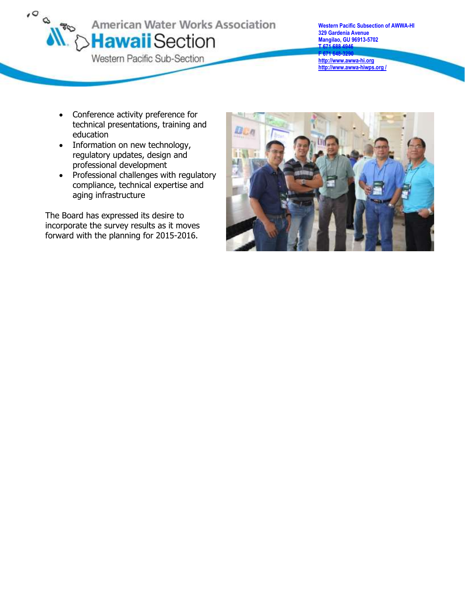

**Western Pacific Subsection of AWWA-HI 329 Gardenia Avenue Mangilao, GU 96913-5702 T 671 688 4946 F 671 648-3290 [http://www.awwa-hi.org](http://www.awwa-hi.org/) http://www.awwa-hiwps.org /**

- Conference activity preference for technical presentations, training and education
- Information on new technology, regulatory updates, design and professional development
- Professional challenges with regulatory compliance, technical expertise and aging infrastructure

The Board has expressed its desire to incorporate the survey results as it moves forward with the planning for 2015-2016.